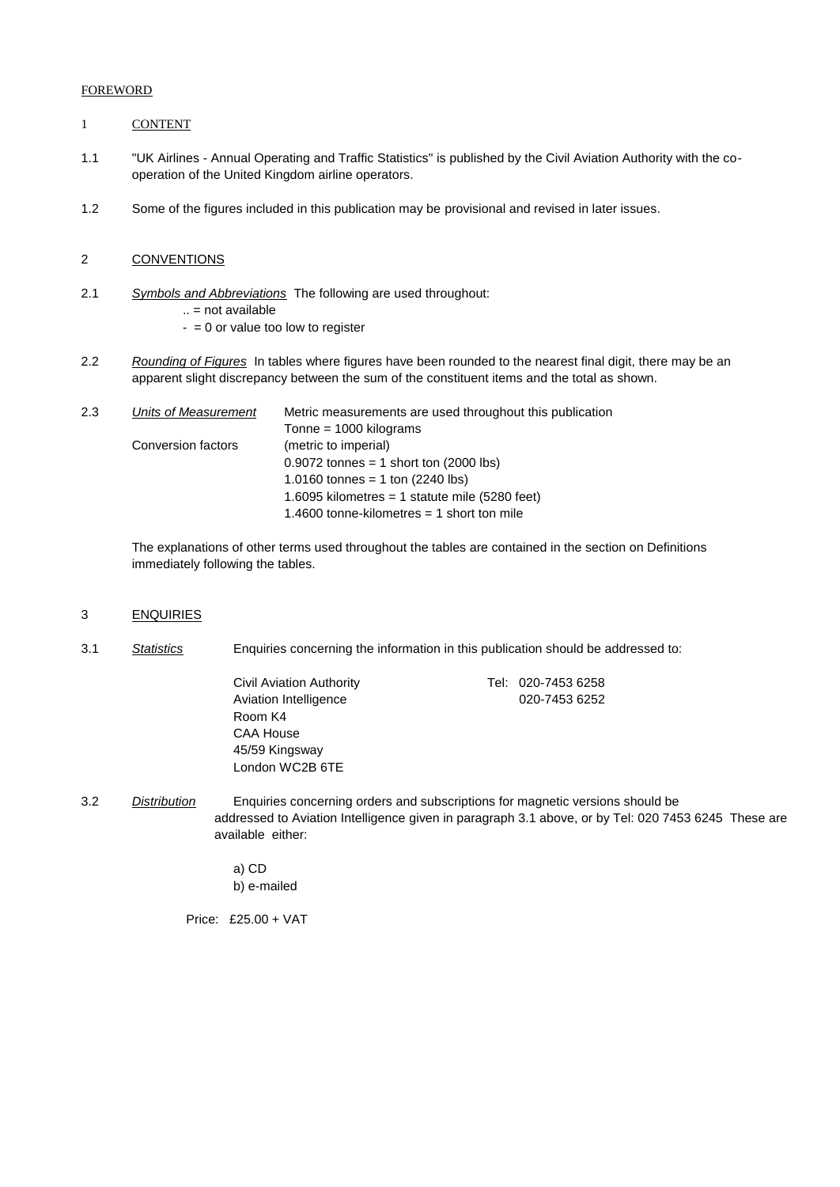#### FOREWORD

#### 1 CONTENT

- 1.1 "UK Airlines Annual Operating and Traffic Statistics" is published by the Civil Aviation Authority with the cooperation of the United Kingdom airline operators.
- 1.2 Some of the figures included in this publication may be provisional and revised in later issues.

# 2 CONVENTIONS

- 2.1 *Symbols and Abbreviations* The following are used throughout:
	- .. = not available
	- $= 0$  or value too low to register
- 2.2 *Rounding of Figures* In tables where figures have been rounded to the nearest final digit, there may be an apparent slight discrepancy between the sum of the constituent items and the total as shown.

| 2.3 | Units of Measurement | Metric measurements are used throughout this publication |  |  |
|-----|----------------------|----------------------------------------------------------|--|--|
|     |                      | $Tonne = 1000$ kilograms                                 |  |  |
|     | Conversion factors   | (metric to imperial)                                     |  |  |
|     |                      | $0.9072$ tonnes = 1 short ton (2000 lbs)                 |  |  |
|     |                      | 1.0160 tonnes = 1 ton $(2240$ lbs)                       |  |  |
|     |                      | 1.6095 kilometres = 1 statute mile $(5280$ feet)         |  |  |
|     |                      | 1.4600 tonne-kilometres $=$ 1 short ton mile             |  |  |

The explanations of other terms used throughout the tables are contained in the section on Definitions immediately following the tables.

# 3 ENQUIRIES

3.1 *Statistics* Enquiries concerning the information in this publication should be addressed to:

Civil Aviation Authority Tel: 020-7453 6258 Aviation Intelligence 020-7453 6252 Room K4 CAA House 45/59 Kingsway London WC2B 6TE

3.2 *Distribution* Enquiries concerning orders and subscriptions for magnetic versions should be addressed to Aviation Intelligence given in paragraph 3.1 above, or by Tel: 020 7453 6245 These are available either:

> a) CD b) e-mailed

Price: £25.00 + VAT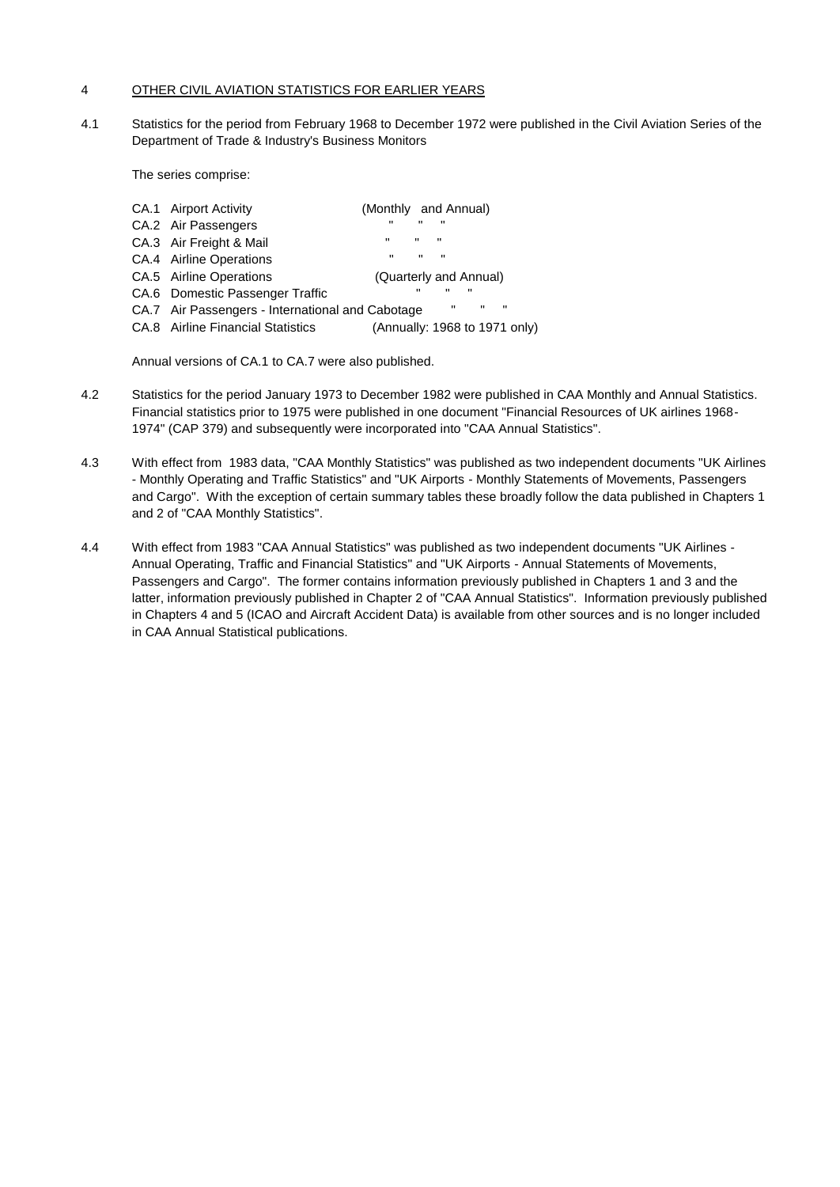#### 4 OTHER CIVIL AVIATION STATISTICS FOR EARLIER YEARS

4.1 Statistics for the period from February 1968 to December 1972 were published in the Civil Aviation Series of the Department of Trade & Industry's Business Monitors

The series comprise:

| CA.1 Airport Activity                            | (Monthly and Annual)          |                           |              |              |                              |  |
|--------------------------------------------------|-------------------------------|---------------------------|--------------|--------------|------------------------------|--|
| CA.2 Air Passengers                              | $\mathbf{u}$                  | $\mathbf{u}$              | $\mathbf{u}$ |              |                              |  |
| CA.3 Air Freight & Mail                          | $\mathbf{H}$                  | $\mathbf{u}$ $\mathbf{u}$ |              |              |                              |  |
| CA.4 Airline Operations                          | $\mathbf{H}$                  | $\mathbf{H}$              | $\mathbf{u}$ |              |                              |  |
| CA.5 Airline Operations                          | (Quarterly and Annual)        |                           |              |              |                              |  |
| CA.6 Domestic Passenger Traffic                  |                               | $\mathbf{u}$              | $\mathbf{u}$ | $\mathbf{u}$ |                              |  |
| CA.7 Air Passengers - International and Cabotage |                               |                           | $\mathbf{u}$ |              | $\mathbf{H}$<br>$\mathbf{u}$ |  |
| <b>CA.8</b> Airline Financial Statistics         | (Annually: 1968 to 1971 only) |                           |              |              |                              |  |
|                                                  |                               |                           |              |              |                              |  |

Annual versions of CA.1 to CA.7 were also published.

- 4.2 Statistics for the period January 1973 to December 1982 were published in CAA Monthly and Annual Statistics. Financial statistics prior to 1975 were published in one document "Financial Resources of UK airlines 1968- 1974" (CAP 379) and subsequently were incorporated into "CAA Annual Statistics".
- 4.3 With effect from 1983 data, "CAA Monthly Statistics" was published as two independent documents "UK Airlines - Monthly Operating and Traffic Statistics" and "UK Airports - Monthly Statements of Movements, Passengers and Cargo". With the exception of certain summary tables these broadly follow the data published in Chapters 1 and 2 of "CAA Monthly Statistics".
- 4.4 With effect from 1983 "CAA Annual Statistics" was published as two independent documents "UK Airlines Annual Operating, Traffic and Financial Statistics" and "UK Airports - Annual Statements of Movements, Passengers and Cargo". The former contains information previously published in Chapters 1 and 3 and the latter, information previously published in Chapter 2 of "CAA Annual Statistics". Information previously published in Chapters 4 and 5 (ICAO and Aircraft Accident Data) is available from other sources and is no longer included in CAA Annual Statistical publications.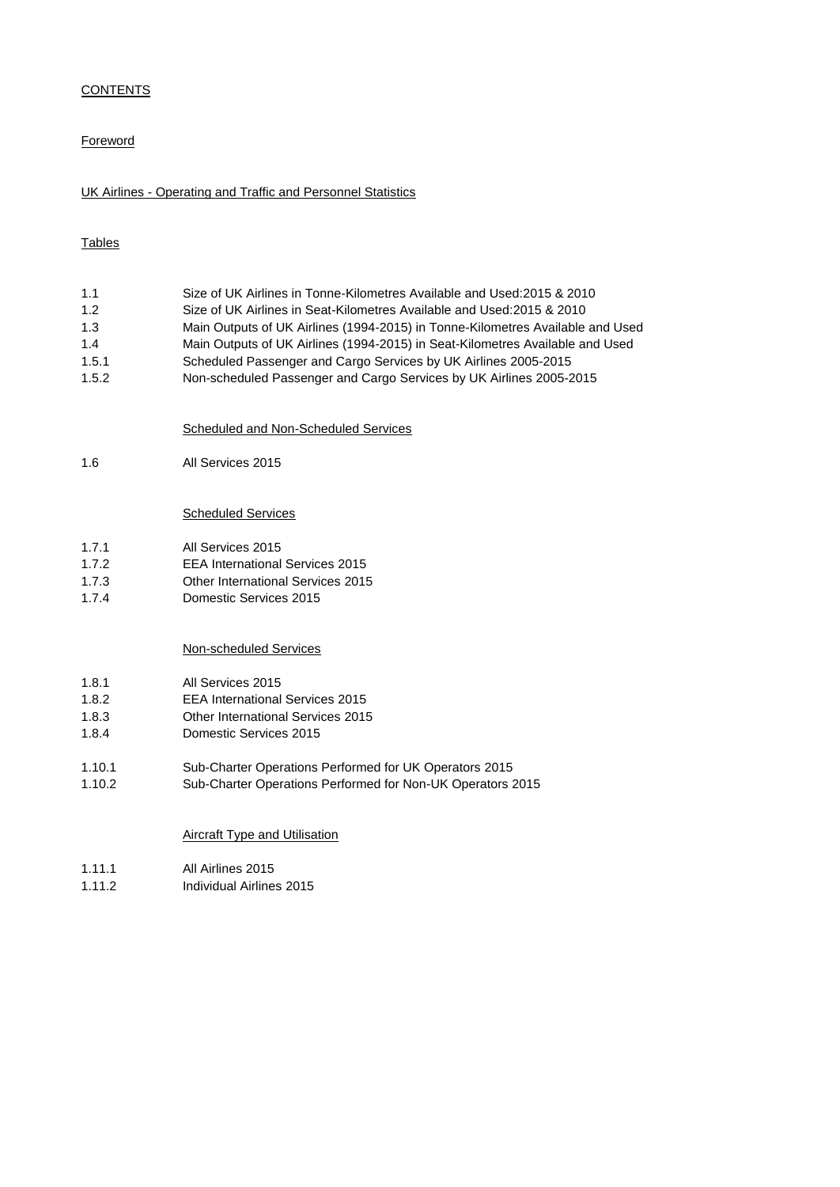# **CONTENTS**

# **Foreword**

## UK Airlines - Operating and Traffic and Personnel Statistics

# Tables

- 1.1 Size of UK Airlines in Tonne-Kilometres Available and Used:2015 & 2010
- 1.2 Size of UK Airlines in Seat-Kilometres Available and Used:2015 & 2010
- 1.3 Main Outputs of UK Airlines (1994-2015) in Tonne-Kilometres Available and Used
- 1.4 Main Outputs of UK Airlines (1994-2015) in Seat-Kilometres Available and Used
- 1.5.1 Scheduled Passenger and Cargo Services by UK Airlines 2005-2015
- 1.5.2 Non-scheduled Passenger and Cargo Services by UK Airlines 2005-2015

Scheduled and Non-Scheduled Services

1.6 All Services 2015

#### Scheduled Services

- 1.7.1 All Services 2015
- 1.7.2 EEA International Services 2015
- 1.7.3 Other International Services 2015
- 1.7.4 Domestic Services 2015

# Non-scheduled Services

- 1.8.1 All Services 2015
- 1.8.2 EEA International Services 2015
- 1.8.3 Other International Services 2015
- 1.8.4 Domestic Services 2015
- 1.10.1 Sub-Charter Operations Performed for UK Operators 2015
- 1.10.2 Sub-Charter Operations Performed for Non-UK Operators 2015

Aircraft Type and Utilisation

- 1.11.1 All Airlines 2015
- 1.11.2 Individual Airlines 2015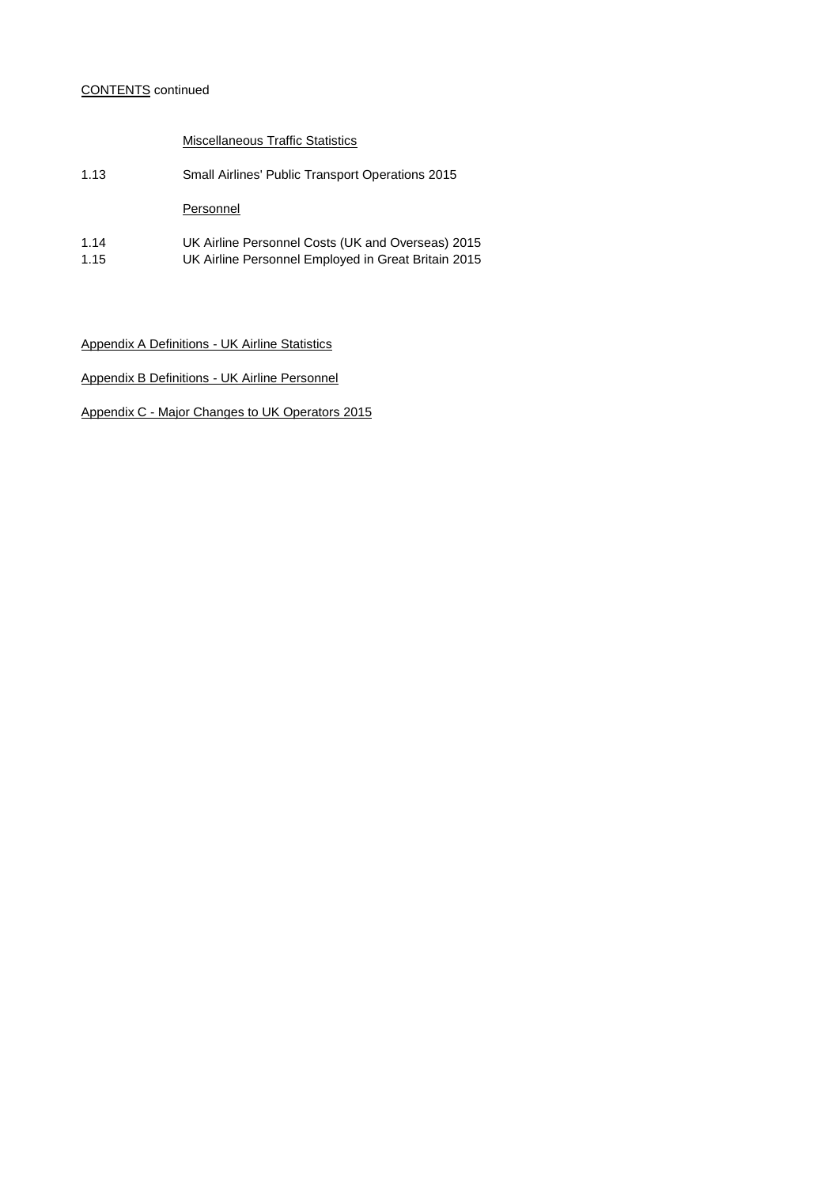# CONTENTS continued

# Miscellaneous Traffic Statistics

| 1.13 | Small Airlines' Public Transport Operations 2015    |
|------|-----------------------------------------------------|
|      | Personnel                                           |
| 1.14 | UK Airline Personnel Costs (UK and Overseas) 2015   |
| 1.15 | UK Airline Personnel Employed in Great Britain 2015 |

# Appendix A Definitions - UK Airline Statistics

Appendix B Definitions - UK Airline Personnel

Appendix C - Major Changes to UK Operators 2015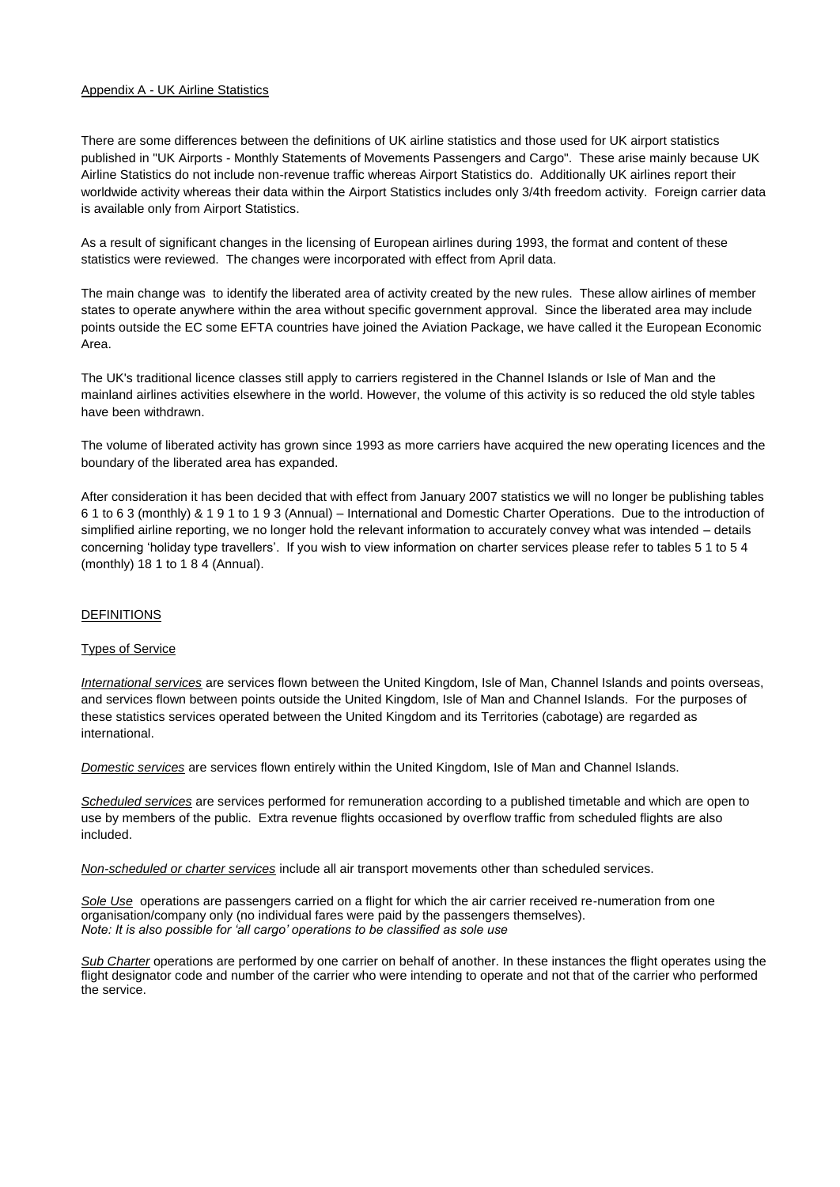#### Appendix A - UK Airline Statistics

There are some differences between the definitions of UK airline statistics and those used for UK airport statistics published in "UK Airports - Monthly Statements of Movements Passengers and Cargo". These arise mainly because UK Airline Statistics do not include non-revenue traffic whereas Airport Statistics do. Additionally UK airlines report their worldwide activity whereas their data within the Airport Statistics includes only 3/4th freedom activity. Foreign carrier data is available only from Airport Statistics.

As a result of significant changes in the licensing of European airlines during 1993, the format and content of these statistics were reviewed. The changes were incorporated with effect from April data.

The main change was to identify the liberated area of activity created by the new rules. These allow airlines of member states to operate anywhere within the area without specific government approval. Since the liberated area may include points outside the EC some EFTA countries have joined the Aviation Package, we have called it the European Economic Area.

The UK's traditional licence classes still apply to carriers registered in the Channel Islands or Isle of Man and the mainland airlines activities elsewhere in the world. However, the volume of this activity is so reduced the old style tables have been withdrawn.

The volume of liberated activity has grown since 1993 as more carriers have acquired the new operating licences and the boundary of the liberated area has expanded.

After consideration it has been decided that with effect from January 2007 statistics we will no longer be publishing tables 6 1 to 6 3 (monthly) & 1 9 1 to 1 9 3 (Annual) – International and Domestic Charter Operations. Due to the introduction of simplified airline reporting, we no longer hold the relevant information to accurately convey what was intended – details concerning 'holiday type travellers'. If you wish to view information on charter services please refer to tables 5 1 to 5 4 (monthly) 18 1 to 1 8 4 (Annual).

#### DEFINITIONS

#### Types of Service

*International services* are services flown between the United Kingdom, Isle of Man, Channel Islands and points overseas, and services flown between points outside the United Kingdom, Isle of Man and Channel Islands. For the purposes of these statistics services operated between the United Kingdom and its Territories (cabotage) are regarded as international.

*Domestic services* are services flown entirely within the United Kingdom, Isle of Man and Channel Islands.

*Scheduled services* are services performed for remuneration according to a published timetable and which are open to use by members of the public. Extra revenue flights occasioned by overflow traffic from scheduled flights are also included.

*Non-scheduled or charter services* include all air transport movements other than scheduled services.

*Sole Use* operations are passengers carried on a flight for which the air carrier received re-numeration from one organisation/company only (no individual fares were paid by the passengers themselves). *Note: It is also possible for 'all cargo' operations to be classified as sole use*

*Sub Charter* operations are performed by one carrier on behalf of another. In these instances the flight operates using the flight designator code and number of the carrier who were intending to operate and not that of the carrier who performed the service.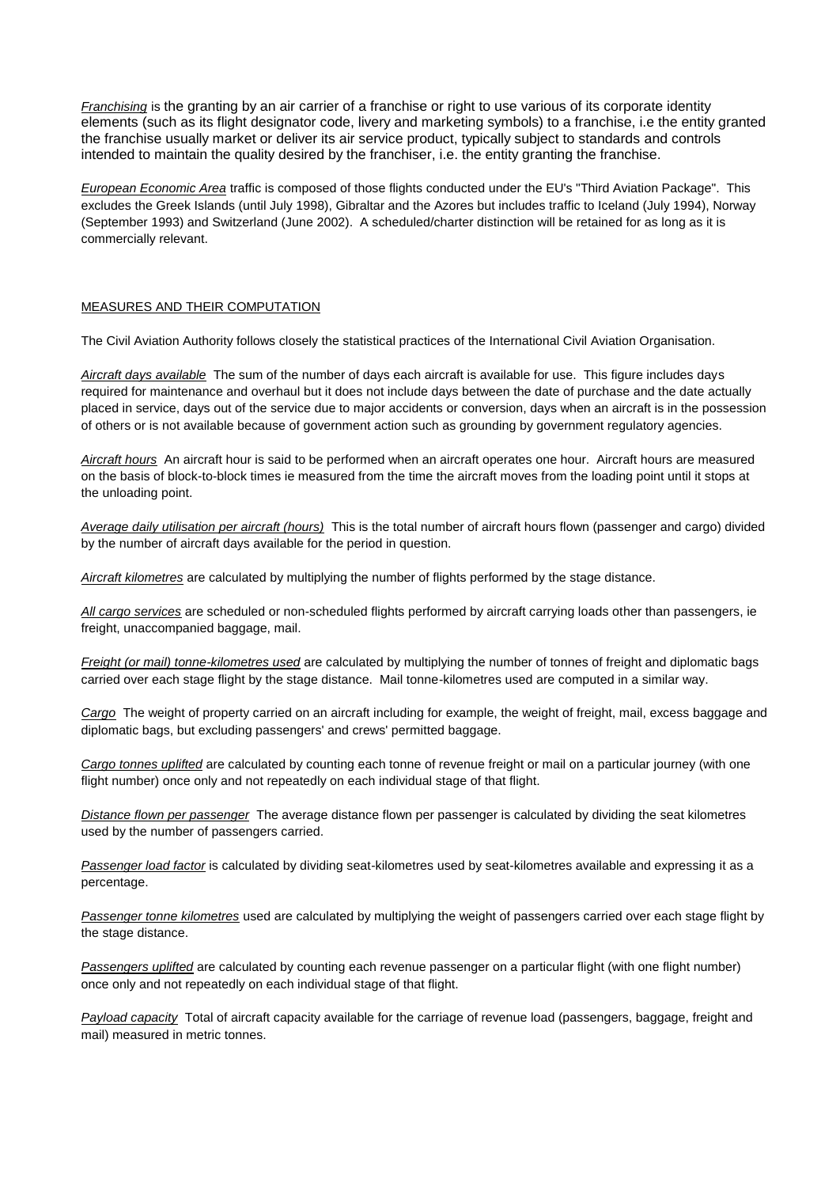*Franchising* is the granting by an air carrier of a franchise or right to use various of its corporate identity elements (such as its flight designator code, livery and marketing symbols) to a franchise, i.e the entity granted the franchise usually market or deliver its air service product, typically subject to standards and controls intended to maintain the quality desired by the franchiser, i.e. the entity granting the franchise.

*European Economic Area* traffic is composed of those flights conducted under the EU's "Third Aviation Package". This excludes the Greek Islands (until July 1998), Gibraltar and the Azores but includes traffic to Iceland (July 1994), Norway (September 1993) and Switzerland (June 2002). A scheduled/charter distinction will be retained for as long as it is commercially relevant.

#### MEASURES AND THEIR COMPUTATION

The Civil Aviation Authority follows closely the statistical practices of the International Civil Aviation Organisation.

*Aircraft days available* The sum of the number of days each aircraft is available for use. This figure includes days required for maintenance and overhaul but it does not include days between the date of purchase and the date actually placed in service, days out of the service due to major accidents or conversion, days when an aircraft is in the possession of others or is not available because of government action such as grounding by government regulatory agencies.

*Aircraft hours* An aircraft hour is said to be performed when an aircraft operates one hour. Aircraft hours are measured on the basis of block-to-block times ie measured from the time the aircraft moves from the loading point until it stops at the unloading point.

*Average daily utilisation per aircraft (hours)* This is the total number of aircraft hours flown (passenger and cargo) divided by the number of aircraft days available for the period in question.

*Aircraft kilometres* are calculated by multiplying the number of flights performed by the stage distance.

*All cargo services* are scheduled or non-scheduled flights performed by aircraft carrying loads other than passengers, ie freight, unaccompanied baggage, mail.

*Freight (or mail) tonne-kilometres used* are calculated by multiplying the number of tonnes of freight and diplomatic bags carried over each stage flight by the stage distance. Mail tonne-kilometres used are computed in a similar way.

*Cargo* The weight of property carried on an aircraft including for example, the weight of freight, mail, excess baggage and diplomatic bags, but excluding passengers' and crews' permitted baggage.

*Cargo tonnes uplifted* are calculated by counting each tonne of revenue freight or mail on a particular journey (with one flight number) once only and not repeatedly on each individual stage of that flight.

*Distance flown per passenger* The average distance flown per passenger is calculated by dividing the seat kilometres used by the number of passengers carried.

*Passenger load factor* is calculated by dividing seat-kilometres used by seat-kilometres available and expressing it as a percentage.

*Passenger tonne kilometres* used are calculated by multiplying the weight of passengers carried over each stage flight by the stage distance.

*Passengers uplifted* are calculated by counting each revenue passenger on a particular flight (with one flight number) once only and not repeatedly on each individual stage of that flight.

*Payload capacity* Total of aircraft capacity available for the carriage of revenue load (passengers, baggage, freight and mail) measured in metric tonnes.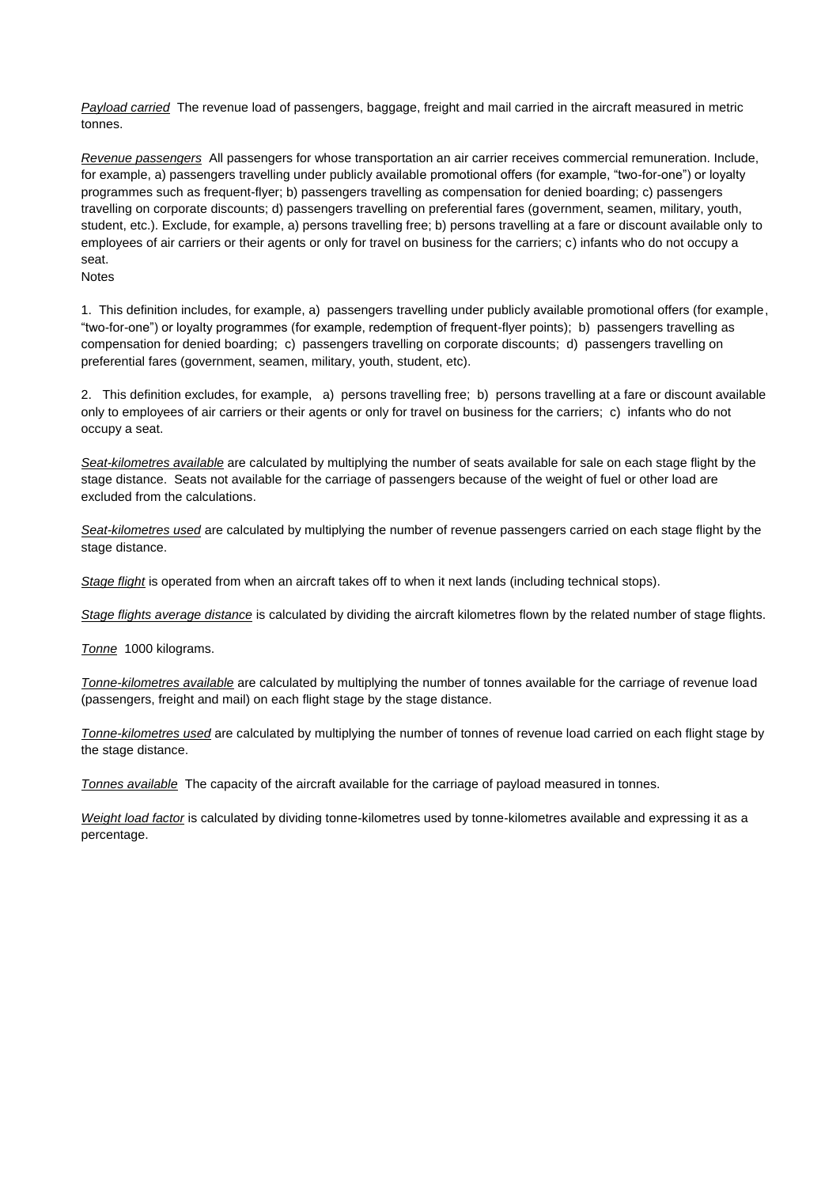*Payload carried* The revenue load of passengers, baggage, freight and mail carried in the aircraft measured in metric tonnes.

*Revenue passengers* All passengers for whose transportation an air carrier receives commercial remuneration. Include, for example, a) passengers travelling under publicly available promotional offers (for example, "two-for-one") or loyalty programmes such as frequent-flyer; b) passengers travelling as compensation for denied boarding; c) passengers travelling on corporate discounts; d) passengers travelling on preferential fares (government, seamen, military, youth, student, etc.). Exclude, for example, a) persons travelling free; b) persons travelling at a fare or discount available only to employees of air carriers or their agents or only for travel on business for the carriers; c) infants who do not occupy a seat.

**Notes** 

1. This definition includes, for example, a) passengers travelling under publicly available promotional offers (for example, "two-for-one") or loyalty programmes (for example, redemption of frequent-flyer points); b) passengers travelling as compensation for denied boarding; c) passengers travelling on corporate discounts; d) passengers travelling on preferential fares (government, seamen, military, youth, student, etc).

2. This definition excludes, for example, a) persons travelling free; b) persons travelling at a fare or discount available only to employees of air carriers or their agents or only for travel on business for the carriers; c) infants who do not occupy a seat.

*Seat-kilometres available* are calculated by multiplying the number of seats available for sale on each stage flight by the stage distance. Seats not available for the carriage of passengers because of the weight of fuel or other load are excluded from the calculations.

*Seat-kilometres used* are calculated by multiplying the number of revenue passengers carried on each stage flight by the stage distance.

*Stage flight* is operated from when an aircraft takes off to when it next lands (including technical stops).

*Stage flights average distance* is calculated by dividing the aircraft kilometres flown by the related number of stage flights.

*Tonne* 1000 kilograms.

*Tonne-kilometres available* are calculated by multiplying the number of tonnes available for the carriage of revenue load (passengers, freight and mail) on each flight stage by the stage distance.

*Tonne-kilometres used* are calculated by multiplying the number of tonnes of revenue load carried on each flight stage by the stage distance.

*Tonnes available* The capacity of the aircraft available for the carriage of payload measured in tonnes.

*Weight load factor* is calculated by dividing tonne-kilometres used by tonne-kilometres available and expressing it as a percentage.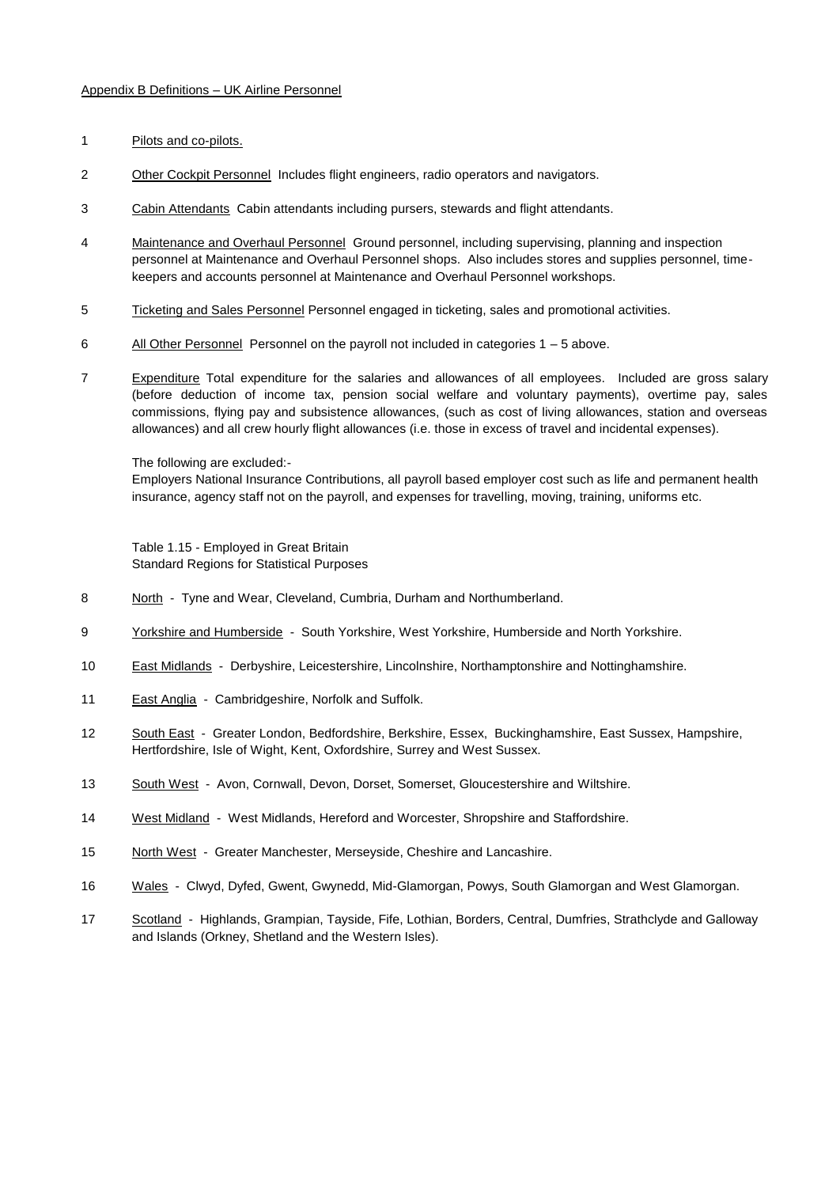#### Appendix B Definitions – UK Airline Personnel

- 1 Pilots and co-pilots.
- 2 Other Cockpit Personnel Includes flight engineers, radio operators and navigators.
- 3 Cabin Attendants Cabin attendants including pursers, stewards and flight attendants.
- 4 Maintenance and Overhaul Personnel Ground personnel, including supervising, planning and inspection personnel at Maintenance and Overhaul Personnel shops. Also includes stores and supplies personnel, timekeepers and accounts personnel at Maintenance and Overhaul Personnel workshops.
- 5 Ticketing and Sales Personnel Personnel engaged in ticketing, sales and promotional activities.
- 6 All Other Personnel Personnel on the payroll not included in categories 1 5 above.
- 7 Expenditure Total expenditure for the salaries and allowances of all employees. Included are gross salary (before deduction of income tax, pension social welfare and voluntary payments), overtime pay, sales commissions, flying pay and subsistence allowances, (such as cost of living allowances, station and overseas allowances) and all crew hourly flight allowances (i.e. those in excess of travel and incidental expenses).

The following are excluded:-

Employers National Insurance Contributions, all payroll based employer cost such as life and permanent health insurance, agency staff not on the payroll, and expenses for travelling, moving, training, uniforms etc.

Table 1.15 - Employed in Great Britain Standard Regions for Statistical Purposes

- 8 North Tyne and Wear, Cleveland, Cumbria, Durham and Northumberland.
- 9 Yorkshire and Humberside South Yorkshire, West Yorkshire, Humberside and North Yorkshire.
- 10 East Midlands Derbyshire, Leicestershire, Lincolnshire, Northamptonshire and Nottinghamshire.
- 11 East Anglia Cambridgeshire, Norfolk and Suffolk.
- 12 South East Greater London, Bedfordshire, Berkshire, Essex, Buckinghamshire, East Sussex, Hampshire, Hertfordshire, Isle of Wight, Kent, Oxfordshire, Surrey and West Sussex.
- 13 South West Avon, Cornwall, Devon, Dorset, Somerset, Gloucestershire and Wiltshire.
- 14 West Midland West Midlands, Hereford and Worcester, Shropshire and Staffordshire.
- 15 North West Greater Manchester, Merseyside, Cheshire and Lancashire.
- 16 Wales Clwyd, Dyfed, Gwent, Gwynedd, Mid-Glamorgan, Powys, South Glamorgan and West Glamorgan.
- 17 Scotland Highlands, Grampian, Tayside, Fife, Lothian, Borders, Central, Dumfries, Strathclyde and Galloway and Islands (Orkney, Shetland and the Western Isles).